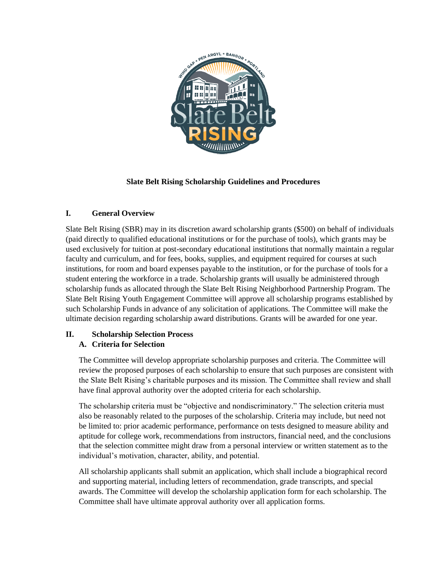

## **Slate Belt Rising Scholarship Guidelines and Procedures**

#### **I. General Overview**

Slate Belt Rising (SBR) may in its discretion award scholarship grants (\$500) on behalf of individuals (paid directly to qualified educational institutions or for the purchase of tools), which grants may be used exclusively for tuition at post-secondary educational institutions that normally maintain a regular faculty and curriculum, and for fees, books, supplies, and equipment required for courses at such institutions, for room and board expenses payable to the institution, or for the purchase of tools for a student entering the workforce in a trade. Scholarship grants will usually be administered through scholarship funds as allocated through the Slate Belt Rising Neighborhood Partnership Program. The Slate Belt Rising Youth Engagement Committee will approve all scholarship programs established by such Scholarship Funds in advance of any solicitation of applications. The Committee will make the ultimate decision regarding scholarship award distributions. Grants will be awarded for one year.

## **II. Scholarship Selection Process A. Criteria for Selection**

The Committee will develop appropriate scholarship purposes and criteria. The Committee will review the proposed purposes of each scholarship to ensure that such purposes are consistent with the Slate Belt Rising's charitable purposes and its mission. The Committee shall review and shall have final approval authority over the adopted criteria for each scholarship.

The scholarship criteria must be "objective and nondiscriminatory." The selection criteria must also be reasonably related to the purposes of the scholarship. Criteria may include, but need not be limited to: prior academic performance, performance on tests designed to measure ability and aptitude for college work, recommendations from instructors, financial need, and the conclusions that the selection committee might draw from a personal interview or written statement as to the individual's motivation, character, ability, and potential.

All scholarship applicants shall submit an application, which shall include a biographical record and supporting material, including letters of recommendation, grade transcripts, and special awards. The Committee will develop the scholarship application form for each scholarship. The Committee shall have ultimate approval authority over all application forms.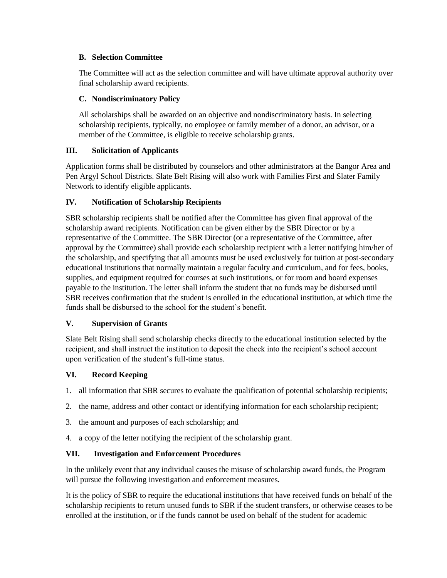#### **B. Selection Committee**

The Committee will act as the selection committee and will have ultimate approval authority over final scholarship award recipients.

#### **C. Nondiscriminatory Policy**

All scholarships shall be awarded on an objective and nondiscriminatory basis. In selecting scholarship recipients, typically, no employee or family member of a donor, an advisor, or a member of the Committee, is eligible to receive scholarship grants.

## **III. Solicitation of Applicants**

Application forms shall be distributed by counselors and other administrators at the Bangor Area and Pen Argyl School Districts. Slate Belt Rising will also work with Families First and Slater Family Network to identify eligible applicants.

## **IV. Notification of Scholarship Recipients**

SBR scholarship recipients shall be notified after the Committee has given final approval of the scholarship award recipients. Notification can be given either by the SBR Director or by a representative of the Committee. The SBR Director (or a representative of the Committee, after approval by the Committee) shall provide each scholarship recipient with a letter notifying him/her of the scholarship, and specifying that all amounts must be used exclusively for tuition at post-secondary educational institutions that normally maintain a regular faculty and curriculum, and for fees, books, supplies, and equipment required for courses at such institutions, or for room and board expenses payable to the institution. The letter shall inform the student that no funds may be disbursed until SBR receives confirmation that the student is enrolled in the educational institution, at which time the funds shall be disbursed to the school for the student's benefit.

#### **V. Supervision of Grants**

Slate Belt Rising shall send scholarship checks directly to the educational institution selected by the recipient, and shall instruct the institution to deposit the check into the recipient's school account upon verification of the student's full-time status.

#### **VI. Record Keeping**

- 1. all information that SBR secures to evaluate the qualification of potential scholarship recipients;
- 2. the name, address and other contact or identifying information for each scholarship recipient;
- 3. the amount and purposes of each scholarship; and
- 4. a copy of the letter notifying the recipient of the scholarship grant.

## **VII. Investigation and Enforcement Procedures**

In the unlikely event that any individual causes the misuse of scholarship award funds, the Program will pursue the following investigation and enforcement measures.

It is the policy of SBR to require the educational institutions that have received funds on behalf of the scholarship recipients to return unused funds to SBR if the student transfers, or otherwise ceases to be enrolled at the institution, or if the funds cannot be used on behalf of the student for academic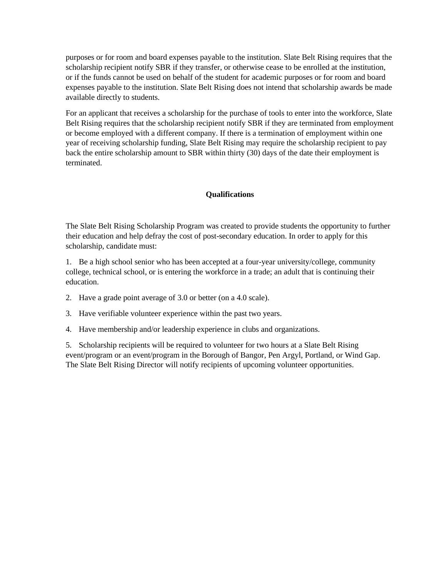purposes or for room and board expenses payable to the institution. Slate Belt Rising requires that the scholarship recipient notify SBR if they transfer, or otherwise cease to be enrolled at the institution, or if the funds cannot be used on behalf of the student for academic purposes or for room and board expenses payable to the institution. Slate Belt Rising does not intend that scholarship awards be made available directly to students.

For an applicant that receives a scholarship for the purchase of tools to enter into the workforce, Slate Belt Rising requires that the scholarship recipient notify SBR if they are terminated from employment or become employed with a different company. If there is a termination of employment within one year of receiving scholarship funding, Slate Belt Rising may require the scholarship recipient to pay back the entire scholarship amount to SBR within thirty (30) days of the date their employment is terminated.

#### **Qualifications**

The Slate Belt Rising Scholarship Program was created to provide students the opportunity to further their education and help defray the cost of post-secondary education. In order to apply for this scholarship, candidate must:

1. Be a high school senior who has been accepted at a four-year university/college, community college, technical school, or is entering the workforce in a trade; an adult that is continuing their education.

2. Have a grade point average of 3.0 or better (on a 4.0 scale).

3. Have verifiable volunteer experience within the past two years.

4. Have membership and/or leadership experience in clubs and organizations.

5. Scholarship recipients will be required to volunteer for two hours at a Slate Belt Rising event/program or an event/program in the Borough of Bangor, Pen Argyl, Portland, or Wind Gap. The Slate Belt Rising Director will notify recipients of upcoming volunteer opportunities.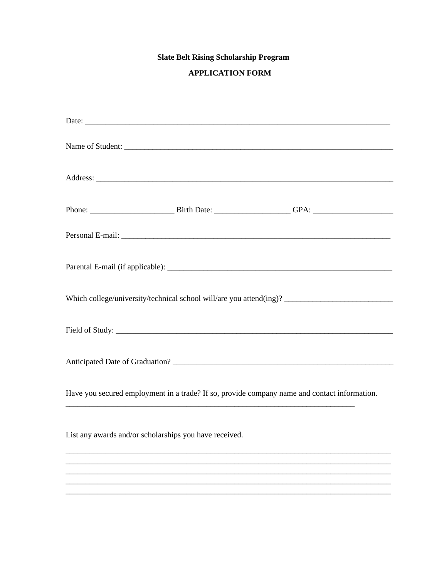# **Slate Belt Rising Scholarship Program**

# **APPLICATION FORM**

|                                                        | Name of Student:                                                                             |
|--------------------------------------------------------|----------------------------------------------------------------------------------------------|
|                                                        |                                                                                              |
|                                                        |                                                                                              |
|                                                        |                                                                                              |
|                                                        |                                                                                              |
|                                                        |                                                                                              |
|                                                        |                                                                                              |
|                                                        |                                                                                              |
|                                                        | Have you secured employment in a trade? If so, provide company name and contact information. |
| List any awards and/or scholarships you have received. |                                                                                              |
|                                                        |                                                                                              |
|                                                        |                                                                                              |